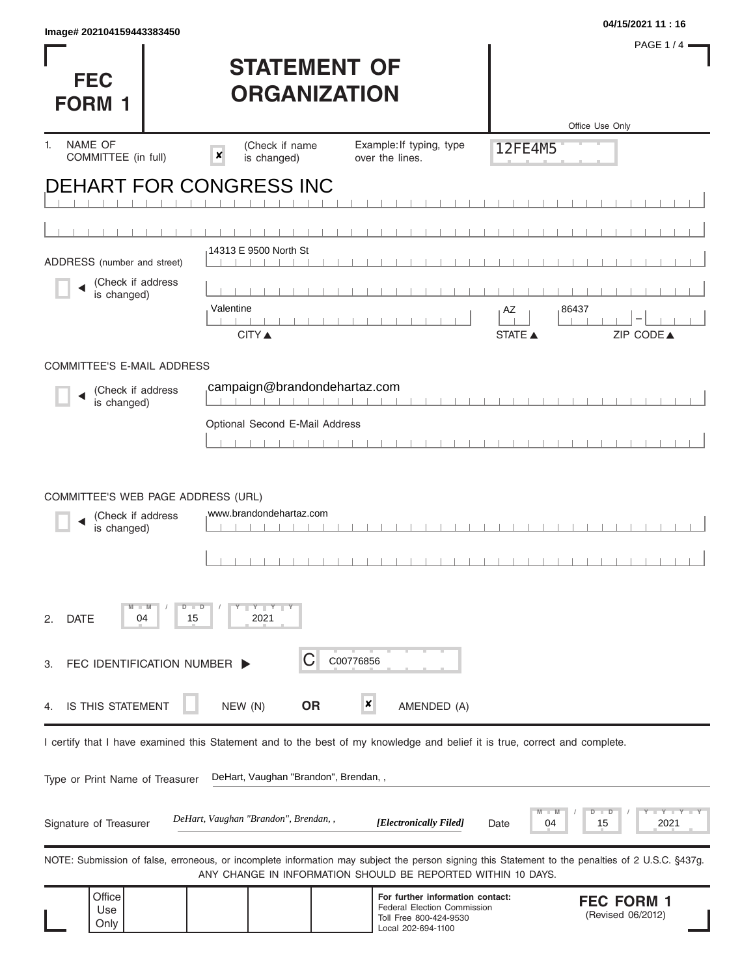| 1110960721071337733037<br><b>FEC</b><br><b>FORM 1</b>                  |          | <b>STATEMENT OF</b><br><b>ORGANIZATION</b>                        |                                                                                                                                                                                                                   |            | PAGE 1/4 =<br>Office Use Only          |
|------------------------------------------------------------------------|----------|-------------------------------------------------------------------|-------------------------------------------------------------------------------------------------------------------------------------------------------------------------------------------------------------------|------------|----------------------------------------|
| NAME OF<br>$1_{-}$<br>COMMITTEE (in full)                              |          | (Check if name<br>$\pmb{\times}$<br>is changed)                   | Example: If typing, type<br>over the lines.                                                                                                                                                                       | 12FE4M5    |                                        |
|                                                                        |          | <b>DEHART FOR CONGRESS INC</b>                                    |                                                                                                                                                                                                                   |            |                                        |
|                                                                        |          |                                                                   |                                                                                                                                                                                                                   |            |                                        |
| ADDRESS (number and street)                                            |          | 14313 E 9500 North St                                             |                                                                                                                                                                                                                   |            |                                        |
| (Check if address<br>is changed)                                       |          |                                                                   |                                                                                                                                                                                                                   |            |                                        |
|                                                                        |          | Valentine                                                         |                                                                                                                                                                                                                   | AΖ         | 86437                                  |
|                                                                        |          | <b>CITY ▲</b>                                                     |                                                                                                                                                                                                                   | STATE A    | ZIP CODE▲                              |
| COMMITTEE'S E-MAIL ADDRESS                                             |          |                                                                   |                                                                                                                                                                                                                   |            |                                        |
| (Check if address<br>is changed)                                       |          | campaign@brandondehartaz.com                                      | $1 - 1 - 1 - 1 - 1 - 1 - 1 - 1$                                                                                                                                                                                   |            |                                        |
|                                                                        |          | Optional Second E-Mail Address                                    |                                                                                                                                                                                                                   |            |                                        |
|                                                                        |          |                                                                   |                                                                                                                                                                                                                   |            |                                        |
| COMMITTEE'S WEB PAGE ADDRESS (URL)<br>(Check if address<br>is changed) |          | www.brandondehartaz.com<br>$\mathbf{1}$ $\mathbf{1}$ $\mathbf{1}$ |                                                                                                                                                                                                                   |            |                                        |
| <b>DATE</b><br>04<br>2.                                                | −⊃<br>15 | $Y \parallel Y \parallel Y$<br>2021                               |                                                                                                                                                                                                                   |            |                                        |
| FEC IDENTIFICATION NUMBER ><br>З.                                      |          | Ċ                                                                 | C00776856                                                                                                                                                                                                         |            |                                        |
| IS THIS STATEMENT<br>4.                                                |          | <b>OR</b><br>NEW (N)                                              | $\boldsymbol{x}$<br>AMENDED (A)                                                                                                                                                                                   |            |                                        |
|                                                                        |          |                                                                   | I certify that I have examined this Statement and to the best of my knowledge and belief it is true, correct and complete.                                                                                        |            |                                        |
| Type or Print Name of Treasurer                                        |          | DeHart, Vaughan "Brandon", Brendan, ,                             |                                                                                                                                                                                                                   |            |                                        |
| Signature of Treasurer                                                 |          | DeHart, Vaughan "Brandon", Brendan, ,                             | [Electronically Filed]                                                                                                                                                                                            | 04<br>Date | $-Y - TY$<br>D<br>٦<br>D<br>2021<br>15 |
|                                                                        |          |                                                                   | NOTE: Submission of false, erroneous, or incomplete information may subject the person signing this Statement to the penalties of 2 U.S.C. §437g.<br>ANY CHANGE IN INFORMATION SHOULD BE REPORTED WITHIN 10 DAYS. |            |                                        |
| Office<br>Use<br>Only                                                  |          |                                                                   | For further information contact:<br><b>Federal Election Commission</b><br>Toll Free 800-424-9530<br>Local 202-694-1100                                                                                            |            | <b>FEC FORM 1</b><br>(Revised 06/2012) |

**04/15/2021 11 : 16 Image# 202104159443383450**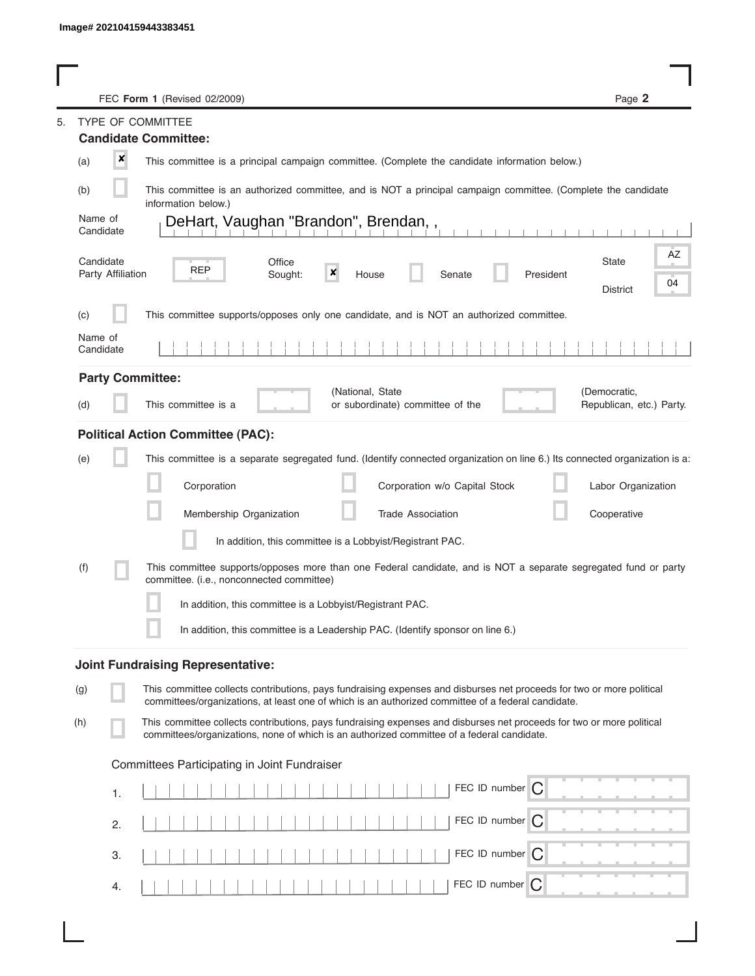L

|         |                                | FEC Form 1 (Revised 02/2009)                                                                                                                                                                                                | Page 2                                      |
|---------|--------------------------------|-----------------------------------------------------------------------------------------------------------------------------------------------------------------------------------------------------------------------------|---------------------------------------------|
|         |                                | TYPE OF COMMITTEE                                                                                                                                                                                                           |                                             |
|         |                                | <b>Candidate Committee:</b>                                                                                                                                                                                                 |                                             |
| (a)     | ×                              | This committee is a principal campaign committee. (Complete the candidate information below.)                                                                                                                               |                                             |
| (b)     |                                | This committee is an authorized committee, and is NOT a principal campaign committee. (Complete the candidate<br>information below.)                                                                                        |                                             |
| Name of | Candidate                      | DeHart, Vaughan "Brandon", Brendan, ,                                                                                                                                                                                       |                                             |
|         | Candidate<br>Party Affiliation | Office<br><b>REP</b><br>×<br>Senate<br>President<br>Sought:<br>House                                                                                                                                                        | AZ<br><b>State</b><br>04<br><b>District</b> |
| (c)     |                                | This committee supports/opposes only one candidate, and is NOT an authorized committee.                                                                                                                                     |                                             |
| Name of | Candidate                      |                                                                                                                                                                                                                             |                                             |
|         |                                | <b>Party Committee:</b>                                                                                                                                                                                                     |                                             |
| (d)     |                                | (National, State<br>This committee is a<br>or subordinate) committee of the                                                                                                                                                 | (Democratic,<br>Republican, etc.) Party.    |
|         |                                | <b>Political Action Committee (PAC):</b>                                                                                                                                                                                    |                                             |
| (e)     |                                | This committee is a separate segregated fund. (Identify connected organization on line 6.) Its connected organization is a:                                                                                                 |                                             |
|         |                                | Corporation<br>Corporation w/o Capital Stock                                                                                                                                                                                | Labor Organization                          |
|         |                                | Membership Organization<br><b>Trade Association</b>                                                                                                                                                                         | Cooperative                                 |
|         |                                | In addition, this committee is a Lobbyist/Registrant PAC.                                                                                                                                                                   |                                             |
| (f)     |                                | This committee supports/opposes more than one Federal candidate, and is NOT a separate segregated fund or party<br>committee. (i.e., nonconnected committee)                                                                |                                             |
|         |                                | In addition, this committee is a Lobbyist/Registrant PAC.                                                                                                                                                                   |                                             |
|         |                                | In addition, this committee is a Leadership PAC. (Identify sponsor on line 6.)                                                                                                                                              |                                             |
|         |                                | <b>Joint Fundraising Representative:</b>                                                                                                                                                                                    |                                             |
| (g)     |                                | This committee collects contributions, pays fundraising expenses and disburses net proceeds for two or more political<br>committees/organizations, at least one of which is an authorized committee of a federal candidate. |                                             |
| (h)     |                                | This committee collects contributions, pays fundraising expenses and disburses net proceeds for two or more political<br>committees/organizations, none of which is an authorized committee of a federal candidate.         |                                             |
|         |                                | Committees Participating in Joint Fundraiser                                                                                                                                                                                |                                             |
|         | 1.                             | FEC ID number<br>$\mathcal{C}$                                                                                                                                                                                              |                                             |
|         | 2.                             | FEC ID number<br>IC                                                                                                                                                                                                         |                                             |
|         | 3.                             | FEC ID number $\bigcap$                                                                                                                                                                                                     |                                             |
|         | 4.                             | FEC ID number $\bigcap$                                                                                                                                                                                                     |                                             |

I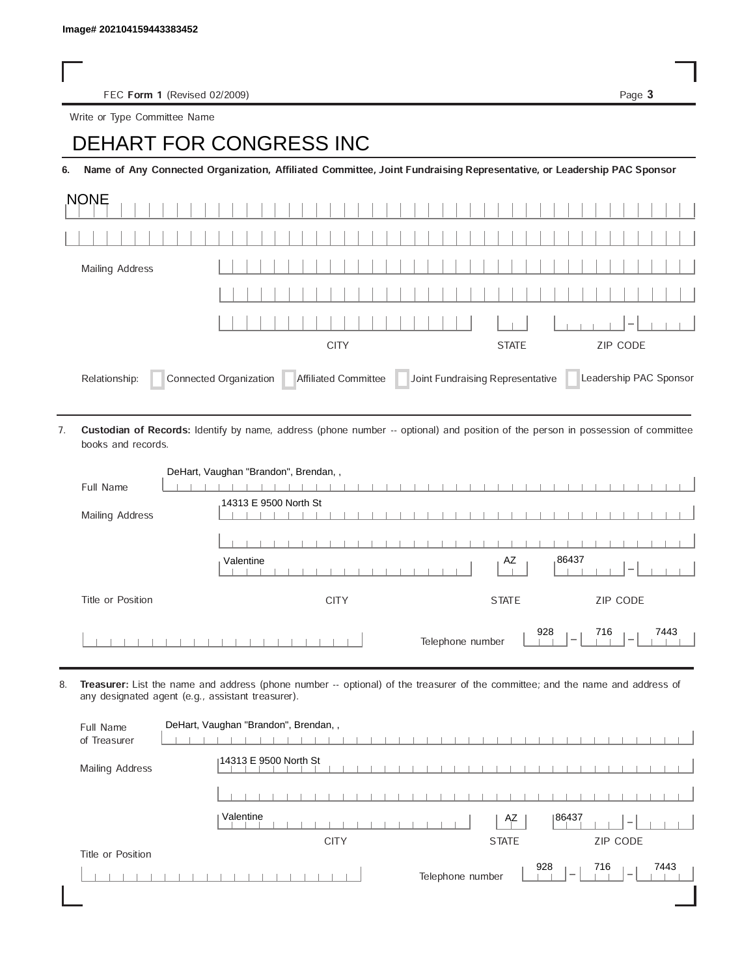FEC Form 1 (Revised 02/2009) Page 3

Write or Type Committee Name

## Image# 202104159443383452<br>
FEC Form 1 (Revised 02/2009)<br>
Write or Type Committee Name<br> **DEHART FOR CONGRESS INC**

6. Name of Any Connected Organization, Affiliated Committee, Joint Fundraising Representative, or Leadership PAC Sponsor

| <b>NONE</b>     |                        |  |  |  |  |  |                      |  |  |  |                                  |  |              |  |  |  |  |                             |                        |  |  |
|-----------------|------------------------|--|--|--|--|--|----------------------|--|--|--|----------------------------------|--|--------------|--|--|--|--|-----------------------------|------------------------|--|--|
|                 |                        |  |  |  |  |  |                      |  |  |  |                                  |  |              |  |  |  |  |                             |                        |  |  |
| Mailing Address |                        |  |  |  |  |  |                      |  |  |  |                                  |  |              |  |  |  |  |                             |                        |  |  |
|                 |                        |  |  |  |  |  |                      |  |  |  |                                  |  |              |  |  |  |  |                             |                        |  |  |
|                 |                        |  |  |  |  |  |                      |  |  |  |                                  |  |              |  |  |  |  | $\mathfrak{t}=\mathfrak{z}$ |                        |  |  |
|                 |                        |  |  |  |  |  | <b>CITY</b>          |  |  |  |                                  |  | <b>STATE</b> |  |  |  |  | <b>ZIP CODE</b>             |                        |  |  |
| Relationship:   | Connected Organization |  |  |  |  |  | Affiliated Committee |  |  |  | Joint Fundraising Representative |  |              |  |  |  |  |                             | Leadership PAC Sponsor |  |  |

Custodian of Records: Identify by name, address (phone number -- optional) and position of the person in possession of committee books and records. 7.

|                   | DeHart, Vaughan "Brandon", Brendan, ,                                                      |
|-------------------|--------------------------------------------------------------------------------------------|
| Full Name         |                                                                                            |
| Mailing Address   | 14313 E 9500 North St                                                                      |
|                   |                                                                                            |
|                   | .86437<br>AZ<br>Valentine<br>$\overline{\phantom{a}}$                                      |
| Title or Position | <b>ZIP CODE</b><br><b>CITY</b><br><b>STATE</b>                                             |
|                   | 928<br>716<br>7443<br>Telephone number<br>$\qquad \qquad \blacksquare$<br>$\hspace{0.1mm}$ |

8. Treasurer: List the name and address (phone number -- optional) of the treasurer of the committee; and the name and address of any designated agent (e.g., assistant treasurer).

| Full Name<br>of Treasurer | DeHart, Vaughan "Brandon", Brendan, , |                  |                                                                            |
|---------------------------|---------------------------------------|------------------|----------------------------------------------------------------------------|
| Mailing Address           | 14313 E 9500 North St                 |                  |                                                                            |
|                           |                                       |                  |                                                                            |
|                           | Valentine                             | AZ               | 86437<br>$\overline{\phantom{a}}$                                          |
|                           | <b>CITY</b>                           | <b>STATE</b>     | <b>ZIP CODE</b>                                                            |
| Title or Position         |                                       | Telephone number | 928<br>716<br>7443<br>$\overline{\phantom{a}}$<br>$\overline{\phantom{a}}$ |